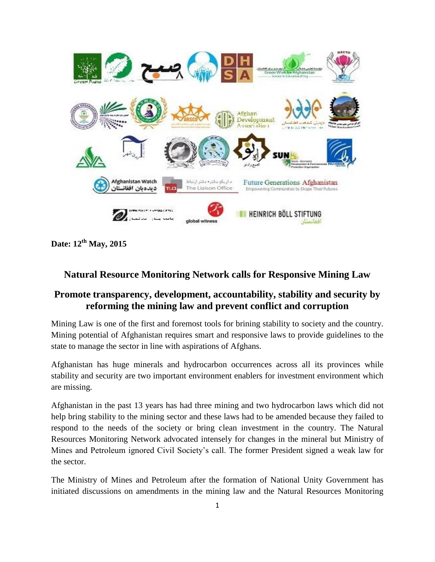

**Date: 12th May, 2015**

## **Natural Resource Monitoring Network calls for Responsive Mining Law**

## **Promote transparency, development, accountability, stability and security by reforming the mining law and prevent conflict and corruption**

Mining Law is one of the first and foremost tools for brining stability to society and the country. Mining potential of Afghanistan requires smart and responsive laws to provide guidelines to the state to manage the sector in line with aspirations of Afghans.

Afghanistan has huge minerals and hydrocarbon occurrences across all its provinces while stability and security are two important environment enablers for investment environment which are missing.

Afghanistan in the past 13 years has had three mining and two hydrocarbon laws which did not help bring stability to the mining sector and these laws had to be amended because they failed to respond to the needs of the society or bring clean investment in the country. The Natural Resources Monitoring Network advocated intensely for changes in the mineral but Ministry of Mines and Petroleum ignored Civil Society's call. The former President signed a weak law for the sector.

The Ministry of Mines and Petroleum after the formation of National Unity Government has initiated discussions on amendments in the mining law and the Natural Resources Monitoring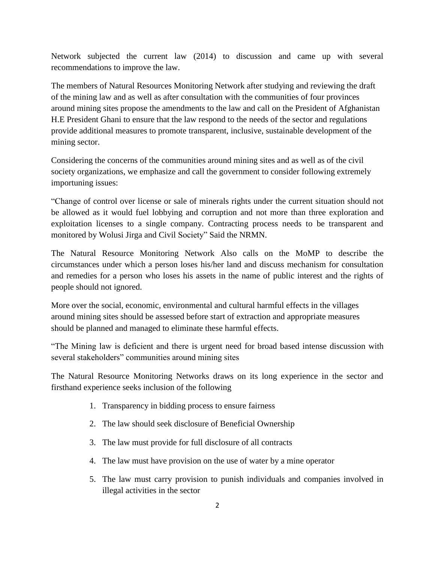Network subjected the current law (2014) to discussion and came up with several recommendations to improve the law.

The members of Natural Resources Monitoring Network after studying and reviewing the draft of the mining law and as well as after consultation with the communities of four provinces around mining sites propose the amendments to the law and call on the President of Afghanistan H.E President Ghani to ensure that the law respond to the needs of the sector and regulations provide additional measures to promote transparent, inclusive, sustainable development of the mining sector.

Considering the concerns of the communities around mining sites and as well as of the civil society organizations, we emphasize and call the government to consider following extremely importuning issues:

"Change of control over license or sale of minerals rights under the current situation should not be allowed as it would fuel lobbying and corruption and not more than three exploration and exploitation licenses to a single company. Contracting process needs to be transparent and monitored by Wolusi Jirga and Civil Society" Said the NRMN.

The Natural Resource Monitoring Network Also calls on the MoMP to describe the circumstances under which a person loses his/her land and discuss mechanism for consultation and remedies for a person who loses his assets in the name of public interest and the rights of people should not ignored.

More over the social, economic, environmental and cultural harmful effects in the villages around mining sites should be assessed before start of extraction and appropriate measures should be planned and managed to eliminate these harmful effects.

"The Mining law is deficient and there is urgent need for broad based intense discussion with several stakeholders" communities around mining sites

The Natural Resource Monitoring Networks draws on its long experience in the sector and firsthand experience seeks inclusion of the following

- 1. Transparency in bidding process to ensure fairness
- 2. The law should seek disclosure of Beneficial Ownership
- 3. The law must provide for full disclosure of all contracts
- 4. The law must have provision on the use of water by a mine operator
- 5. The law must carry provision to punish individuals and companies involved in illegal activities in the sector